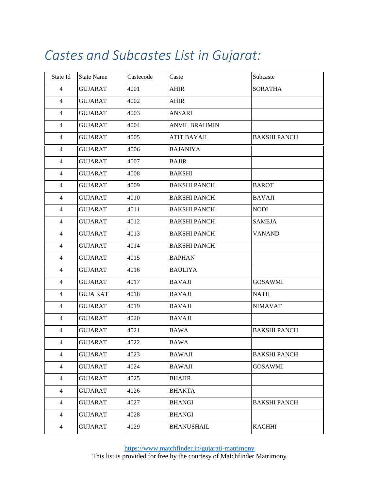## *Castes and Subcastes List in Gujarat:*

| State Id       | <b>State Name</b> | Castecode | Caste                | Subcaste            |
|----------------|-------------------|-----------|----------------------|---------------------|
| $\overline{4}$ | <b>GUJARAT</b>    | 4001      | <b>AHIR</b>          | <b>SORATHA</b>      |
| $\overline{4}$ | <b>GUJARAT</b>    | 4002      | <b>AHIR</b>          |                     |
| $\overline{4}$ | <b>GUJARAT</b>    | 4003      | ANSARI               |                     |
| 4              | <b>GUJARAT</b>    | 4004      | <b>ANVIL BRAHMIN</b> |                     |
| $\overline{4}$ | <b>GUJARAT</b>    | 4005      | <b>ATIT BAYAJI</b>   | <b>BAKSHI PANCH</b> |
| $\overline{4}$ | <b>GUJARAT</b>    | 4006      | <b>BAJANIYA</b>      |                     |
| $\overline{4}$ | <b>GUJARAT</b>    | 4007      | <b>BAJIR</b>         |                     |
| $\overline{4}$ | <b>GUJARAT</b>    | 4008      | <b>BAKSHI</b>        |                     |
| 4              | GUJARAT           | 4009      | <b>BAKSHI PANCH</b>  | <b>BAROT</b>        |
| $\overline{4}$ | <b>GUJARAT</b>    | 4010      | <b>BAKSHI PANCH</b>  | <b>BAVAJI</b>       |
| $\overline{4}$ | <b>GUJARAT</b>    | 4011      | <b>BAKSHI PANCH</b>  | <b>NODI</b>         |
| 4              | <b>GUJARAT</b>    | 4012      | <b>BAKSHI PANCH</b>  | <b>SAMEJA</b>       |
| $\overline{4}$ | <b>GUJARAT</b>    | 4013      | <b>BAKSHI PANCH</b>  | <b>VANAND</b>       |
| $\overline{4}$ | <b>GUJARAT</b>    | 4014      | <b>BAKSHI PANCH</b>  |                     |
| $\overline{4}$ | <b>GUJARAT</b>    | 4015      | <b>BAPHAN</b>        |                     |
| $\overline{4}$ | <b>GUJARAT</b>    | 4016      | <b>BAULIYA</b>       |                     |
| 4              | GUJARAT           | 4017      | <b>BAVAJI</b>        | <b>GOSAWMI</b>      |
| $\overline{4}$ | <b>GUJA RAT</b>   | 4018      | <b>BAVAJI</b>        | <b>NATH</b>         |
| $\overline{4}$ | <b>GUJARAT</b>    | 4019      | <b>BAVAJI</b>        | <b>NIMAVAT</b>      |
| 4              | <b>GUJARAT</b>    | 4020      | <b>BAVAJI</b>        |                     |
| $\overline{4}$ | <b>GUJARAT</b>    | 4021      | <b>BAWA</b>          | <b>BAKSHI PANCH</b> |
| 4              | <b>GUJARAT</b>    | 4022      | <b>BAWA</b>          |                     |
| 4              | <b>GUJARAT</b>    | 4023      | <b>BAWAJI</b>        | <b>BAKSHI PANCH</b> |
| 4              | <b>GUJARAT</b>    | 4024      | <b>BAWAJI</b>        | <b>GOSAWMI</b>      |
| $\overline{4}$ | <b>GUJARAT</b>    | 4025      | <b>BHAJIR</b>        |                     |
| $\overline{4}$ | <b>GUJARAT</b>    | 4026      | <b>BHAKTA</b>        |                     |
| $\overline{4}$ | <b>GUJARAT</b>    | 4027      | <b>BHANGI</b>        | <b>BAKSHI PANCH</b> |
| $\overline{4}$ | <b>GUJARAT</b>    | 4028      | <b>BHANGI</b>        |                     |
| 4              | <b>GUJARAT</b>    | 4029      | <b>BHANUSHAIL</b>    | <b>KACHHI</b>       |
|                |                   |           |                      |                     |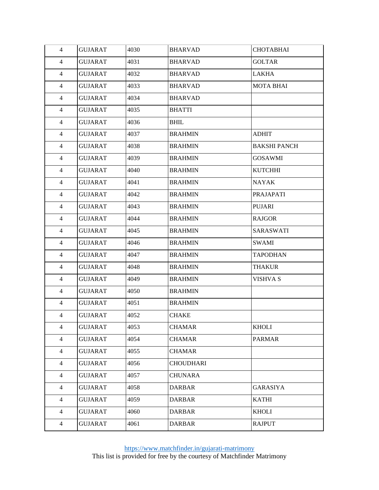| 4              | <b>GUJARAT</b> | 4030 | <b>BHARVAD</b>   | <b>CHOTABHAI</b>    |
|----------------|----------------|------|------------------|---------------------|
| $\overline{4}$ | <b>GUJARAT</b> | 4031 | <b>BHARVAD</b>   | <b>GOLTAR</b>       |
| 4              | <b>GUJARAT</b> | 4032 | <b>BHARVAD</b>   | LAKHA               |
| $\overline{4}$ | <b>GUJARAT</b> | 4033 | <b>BHARVAD</b>   | <b>MOTA BHAI</b>    |
| $\overline{4}$ | <b>GUJARAT</b> | 4034 | <b>BHARVAD</b>   |                     |
| $\overline{4}$ | <b>GUJARAT</b> | 4035 | <b>BHATTI</b>    |                     |
| 4              | <b>GUJARAT</b> | 4036 | <b>BHIL</b>      |                     |
| $\overline{4}$ | <b>GUJARAT</b> | 4037 | <b>BRAHMIN</b>   | <b>ADHIT</b>        |
| $\overline{4}$ | <b>GUJARAT</b> | 4038 | <b>BRAHMIN</b>   | <b>BAKSHI PANCH</b> |
| $\overline{4}$ | <b>GUJARAT</b> | 4039 | <b>BRAHMIN</b>   | <b>GOSAWMI</b>      |
| 4              | <b>GUJARAT</b> | 4040 | <b>BRAHMIN</b>   | <b>KUTCHHI</b>      |
| $\overline{4}$ | <b>GUJARAT</b> | 4041 | <b>BRAHMIN</b>   | <b>NAYAK</b>        |
| $\overline{4}$ | <b>GUJARAT</b> | 4042 | <b>BRAHMIN</b>   | PRAJAPATI           |
| $\overline{4}$ | <b>GUJARAT</b> | 4043 | <b>BRAHMIN</b>   | PUJARI              |
| 4              | <b>GUJARAT</b> | 4044 | <b>BRAHMIN</b>   | <b>RAJGOR</b>       |
| $\overline{4}$ | <b>GUJARAT</b> | 4045 | <b>BRAHMIN</b>   | SARASWATI           |
| 4              | <b>GUJARAT</b> | 4046 | <b>BRAHMIN</b>   | SWAMI               |
| $\overline{4}$ | <b>GUJARAT</b> | 4047 | <b>BRAHMIN</b>   | <b>TAPODHAN</b>     |
| 4              | <b>GUJARAT</b> | 4048 | <b>BRAHMIN</b>   | <b>THAKUR</b>       |
| $\overline{4}$ | <b>GUJARAT</b> | 4049 | <b>BRAHMIN</b>   | <b>VISHVA S</b>     |
| 4              | <b>GUJARAT</b> | 4050 | <b>BRAHMIN</b>   |                     |
| $\overline{4}$ | <b>GUJARAT</b> | 4051 | <b>BRAHMIN</b>   |                     |
| $\overline{4}$ | <b>GUJARAT</b> | 4052 | <b>CHAKE</b>     |                     |
| 4              | <b>GUJARAT</b> | 4053 | <b>CHAMAR</b>    | <b>KHOLI</b>        |
| 4              | <b>GUJARAT</b> | 4054 | <b>CHAMAR</b>    | <b>PARMAR</b>       |
| $\overline{4}$ | <b>GUJARAT</b> | 4055 | <b>CHAMAR</b>    |                     |
| 4              | <b>GUJARAT</b> | 4056 | <b>CHOUDHARI</b> |                     |
| 4              | <b>GUJARAT</b> | 4057 | <b>CHUNARA</b>   |                     |
| 4              | <b>GUJARAT</b> | 4058 | <b>DARBAR</b>    | <b>GARASIYA</b>     |
| 4              | <b>GUJARAT</b> | 4059 | <b>DARBAR</b>    | <b>KATHI</b>        |
| $\overline{4}$ | <b>GUJARAT</b> | 4060 | <b>DARBAR</b>    | <b>KHOLI</b>        |
| $\overline{4}$ | <b>GUJARAT</b> | 4061 | <b>DARBAR</b>    | <b>RAJPUT</b>       |
|                |                |      |                  |                     |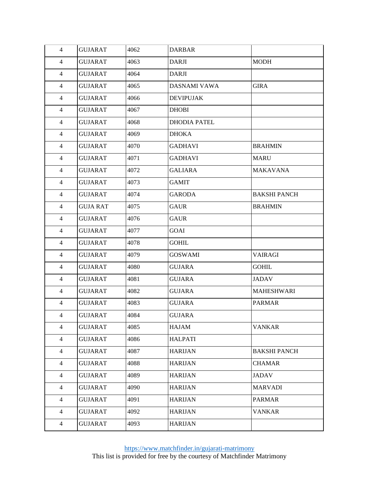| $\overline{4}$ | <b>GUJARAT</b>  | 4062 | <b>DARBAR</b>       |                     |
|----------------|-----------------|------|---------------------|---------------------|
| 4              | <b>GUJARAT</b>  | 4063 | <b>DARJI</b>        | <b>MODH</b>         |
| 4              | <b>GUJARAT</b>  | 4064 | <b>DARJI</b>        |                     |
| 4              | <b>GUJARAT</b>  | 4065 | <b>DASNAMI VAWA</b> | <b>GIRA</b>         |
| 4              | <b>GUJARAT</b>  | 4066 | <b>DEVIPUJAK</b>    |                     |
| 4              | <b>GUJARAT</b>  | 4067 | <b>DHOBI</b>        |                     |
| 4              | <b>GUJARAT</b>  | 4068 | <b>DHODIA PATEL</b> |                     |
| 4              | <b>GUJARAT</b>  | 4069 | <b>DHOKA</b>        |                     |
| 4              | <b>GUJARAT</b>  | 4070 | <b>GADHAVI</b>      | <b>BRAHMIN</b>      |
| 4              | <b>GUJARAT</b>  | 4071 | <b>GADHAVI</b>      | <b>MARU</b>         |
| $\overline{4}$ | <b>GUJARAT</b>  | 4072 | <b>GALIARA</b>      | <b>MAKAVANA</b>     |
| 4              | <b>GUJARAT</b>  | 4073 | <b>GAMIT</b>        |                     |
| 4              | <b>GUJARAT</b>  | 4074 | <b>GARODA</b>       | <b>BAKSHI PANCH</b> |
| 4              | <b>GUJA RAT</b> | 4075 | <b>GAUR</b>         | <b>BRAHMIN</b>      |
| $\overline{4}$ | <b>GUJARAT</b>  | 4076 | <b>GAUR</b>         |                     |
| 4              | <b>GUJARAT</b>  | 4077 | GOAI                |                     |
| 4              | <b>GUJARAT</b>  | 4078 | <b>GOHIL</b>        |                     |
| 4              | <b>GUJARAT</b>  | 4079 | <b>GOSWAMI</b>      | <b>VAIRAGI</b>      |
| $\overline{4}$ | <b>GUJARAT</b>  | 4080 | <b>GUJARA</b>       | <b>GOHIL</b>        |
| 4              | <b>GUJARAT</b>  | 4081 | <b>GUJARA</b>       | <b>JADAV</b>        |
| 4              | <b>GUJARAT</b>  | 4082 | <b>GUJARA</b>       | <b>MAHESHWARI</b>   |
| $\overline{4}$ | <b>GUJARAT</b>  | 4083 | <b>GUJARA</b>       | <b>PARMAR</b>       |
| $\overline{4}$ | <b>GUJARAT</b>  | 4084 | <b>GUJARA</b>       |                     |
| 4              | <b>GUJARAT</b>  | 4085 | <b>HAJAM</b>        | <b>VANKAR</b>       |
| $\overline{4}$ | <b>GUJARAT</b>  | 4086 | <b>HALPATI</b>      |                     |
| 4              | <b>GUJARAT</b>  | 4087 | <b>HARIJAN</b>      | <b>BAKSHI PANCH</b> |
| $\overline{4}$ | <b>GUJARAT</b>  | 4088 | <b>HARIJAN</b>      | <b>CHAMAR</b>       |
| 4              | <b>GUJARAT</b>  | 4089 | <b>HARIJAN</b>      | <b>JADAV</b>        |
| $\overline{4}$ | <b>GUJARAT</b>  | 4090 | <b>HARIJAN</b>      | <b>MARVADI</b>      |
| $\overline{4}$ | <b>GUJARAT</b>  | 4091 | <b>HARIJAN</b>      | <b>PARMAR</b>       |
| 4              | <b>GUJARAT</b>  | 4092 | <b>HARIJAN</b>      | <b>VANKAR</b>       |
| $\overline{4}$ | <b>GUJARAT</b>  | 4093 | <b>HARIJAN</b>      |                     |
|                |                 |      |                     |                     |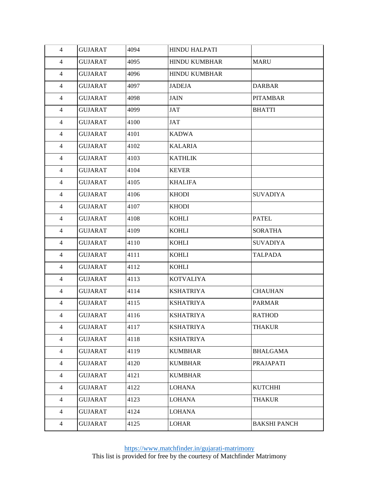| 4              | <b>GUJARAT</b> | 4094 | <b>HINDU HALPATI</b> |                     |
|----------------|----------------|------|----------------------|---------------------|
| 4              | <b>GUJARAT</b> | 4095 | <b>HINDU KUMBHAR</b> | <b>MARU</b>         |
| $\overline{4}$ | <b>GUJARAT</b> | 4096 | HINDU KUMBHAR        |                     |
| $\overline{4}$ | <b>GUJARAT</b> | 4097 | <b>JADEJA</b>        | <b>DARBAR</b>       |
| $\overline{4}$ | <b>GUJARAT</b> | 4098 | <b>JAIN</b>          | <b>PITAMBAR</b>     |
| $\overline{4}$ | <b>GUJARAT</b> | 4099 | <b>JAT</b>           | <b>BHATTI</b>       |
| $\overline{4}$ | <b>GUJARAT</b> | 4100 | JAT                  |                     |
| $\overline{4}$ | <b>GUJARAT</b> | 4101 | <b>KADWA</b>         |                     |
| $\overline{4}$ | <b>GUJARAT</b> | 4102 | <b>KALARIA</b>       |                     |
| $\overline{4}$ | <b>GUJARAT</b> | 4103 | <b>KATHLIK</b>       |                     |
| $\overline{4}$ | <b>GUJARAT</b> | 4104 | <b>KEVER</b>         |                     |
| $\overline{4}$ | <b>GUJARAT</b> | 4105 | <b>KHALIFA</b>       |                     |
| $\overline{4}$ | <b>GUJARAT</b> | 4106 | <b>KHODI</b>         | <b>SUVADIYA</b>     |
| $\overline{4}$ | <b>GUJARAT</b> | 4107 | <b>KHODI</b>         |                     |
| $\overline{4}$ | <b>GUJARAT</b> | 4108 | <b>KOHLI</b>         | <b>PATEL</b>        |
| $\overline{4}$ | <b>GUJARAT</b> | 4109 | <b>KOHLI</b>         | <b>SORATHA</b>      |
| $\overline{4}$ | <b>GUJARAT</b> | 4110 | <b>KOHLI</b>         | <b>SUVADIYA</b>     |
| $\overline{4}$ | <b>GUJARAT</b> | 4111 | <b>KOHLI</b>         | <b>TALPADA</b>      |
| $\overline{4}$ | <b>GUJARAT</b> | 4112 | <b>KOHLI</b>         |                     |
| 4              | <b>GUJARAT</b> | 4113 | <b>KOTVALIYA</b>     |                     |
| $\overline{4}$ | <b>GUJARAT</b> | 4114 | <b>KSHATRIYA</b>     | <b>CHAUHAN</b>      |
| $\overline{4}$ | <b>GUJARAT</b> | 4115 | <b>KSHATRIYA</b>     | <b>PARMAR</b>       |
| 4              | <b>GUJARAT</b> | 4116 | <b>KSHATRIYA</b>     | <b>RATHOD</b>       |
| $\overline{4}$ | <b>GUJARAT</b> | 4117 | <b>KSHATRIYA</b>     | <b>THAKUR</b>       |
| $\overline{4}$ | <b>GUJARAT</b> | 4118 | <b>KSHATRIYA</b>     |                     |
| $\overline{4}$ | <b>GUJARAT</b> | 4119 | <b>KUMBHAR</b>       | <b>BHALGAMA</b>     |
| $\overline{4}$ | <b>GUJARAT</b> | 4120 | <b>KUMBHAR</b>       | <b>PRAJAPATI</b>    |
| $\overline{4}$ | <b>GUJARAT</b> | 4121 | <b>KUMBHAR</b>       |                     |
| $\overline{4}$ | <b>GUJARAT</b> | 4122 | <b>LOHANA</b>        | <b>KUTCHHI</b>      |
| $\overline{4}$ | <b>GUJARAT</b> | 4123 | <b>LOHANA</b>        | <b>THAKUR</b>       |
| $\overline{4}$ | <b>GUJARAT</b> | 4124 | <b>LOHANA</b>        |                     |
| $\overline{4}$ | <b>GUJARAT</b> | 4125 | <b>LOHAR</b>         | <b>BAKSHI PANCH</b> |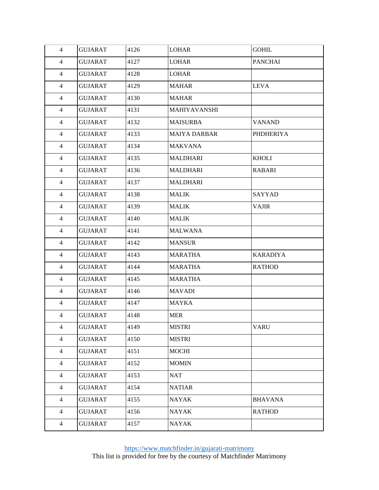| $\overline{4}$ | <b>GUJARAT</b> | 4126 | <b>LOHAR</b>        | <b>GOHIL</b>     |  |
|----------------|----------------|------|---------------------|------------------|--|
| $\overline{4}$ | <b>GUJARAT</b> | 4127 | <b>LOHAR</b>        | <b>PANCHAI</b>   |  |
| 4              | <b>GUJARAT</b> | 4128 | <b>LOHAR</b>        |                  |  |
| $\overline{4}$ | <b>GUJARAT</b> | 4129 | <b>MAHAR</b>        | <b>LEVA</b>      |  |
| $\overline{4}$ | <b>GUJARAT</b> | 4130 | <b>MAHAR</b>        |                  |  |
| $\overline{4}$ | <b>GUJARAT</b> | 4131 | MAHIYAVANSHI        |                  |  |
| $\overline{4}$ | <b>GUJARAT</b> | 4132 | <b>MAISURBA</b>     | <b>VANAND</b>    |  |
| $\overline{4}$ | <b>GUJARAT</b> | 4133 | <b>MAIYA DARBAR</b> | <b>PHDHERIYA</b> |  |
| $\overline{4}$ | <b>GUJARAT</b> | 4134 | <b>MAKVANA</b>      |                  |  |
| $\overline{4}$ | <b>GUJARAT</b> | 4135 | <b>MALDHARI</b>     | <b>KHOLI</b>     |  |
| 4              | <b>GUJARAT</b> | 4136 | <b>MALDHARI</b>     | RABARI           |  |
| $\overline{4}$ | <b>GUJARAT</b> | 4137 | <b>MALDHARI</b>     |                  |  |
| $\overline{4}$ | <b>GUJARAT</b> | 4138 | <b>MALIK</b>        | <b>SAYYAD</b>    |  |
| $\overline{4}$ | <b>GUJARAT</b> | 4139 | <b>MALIK</b>        | <b>VAJIR</b>     |  |
| 4              | <b>GUJARAT</b> | 4140 | <b>MALIK</b>        |                  |  |
| $\overline{4}$ | <b>GUJARAT</b> | 4141 | <b>MALWANA</b>      |                  |  |
| $\overline{4}$ | <b>GUJARAT</b> | 4142 | <b>MANSUR</b>       |                  |  |
| $\overline{4}$ | <b>GUJARAT</b> | 4143 | <b>MARATHA</b>      | <b>KARADIYA</b>  |  |
| $\overline{4}$ | <b>GUJARAT</b> | 4144 | <b>MARATHA</b>      | <b>RATHOD</b>    |  |
| $\overline{4}$ | <b>GUJARAT</b> | 4145 | <b>MARATHA</b>      |                  |  |
| $\overline{4}$ | <b>GUJARAT</b> | 4146 | <b>MAVADI</b>       |                  |  |
| $\overline{4}$ | <b>GUJARAT</b> | 4147 | <b>MAYKA</b>        |                  |  |
| $\overline{4}$ | <b>GUJARAT</b> | 4148 | <b>MER</b>          |                  |  |
| 4              | <b>GUJARAT</b> | 4149 | <b>MISTRI</b>       | <b>VARU</b>      |  |
| 4              | <b>GUJARAT</b> | 4150 | <b>MISTRI</b>       |                  |  |
| $\overline{4}$ | <b>GUJARAT</b> | 4151 | <b>MOCHI</b>        |                  |  |
| $\overline{4}$ | <b>GUJARAT</b> | 4152 | <b>MOMIN</b>        |                  |  |
| $\overline{4}$ | <b>GUJARAT</b> | 4153 | <b>NAT</b>          |                  |  |
| $\overline{4}$ | <b>GUJARAT</b> | 4154 | <b>NATIAR</b>       |                  |  |
| $\overline{4}$ | <b>GUJARAT</b> | 4155 | <b>NAYAK</b>        | <b>BHAVANA</b>   |  |
| $\overline{4}$ | <b>GUJARAT</b> | 4156 | <b>NAYAK</b>        | <b>RATHOD</b>    |  |
| $\overline{4}$ | <b>GUJARAT</b> | 4157 | <b>NAYAK</b>        |                  |  |
|                |                |      |                     |                  |  |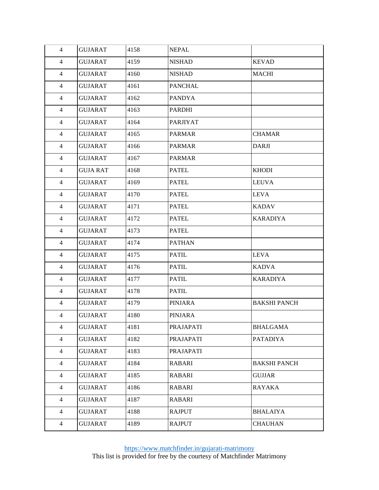| $\overline{4}$ | <b>GUJARAT</b>  | 4158 | <b>NEPAL</b>     |                     |
|----------------|-----------------|------|------------------|---------------------|
|                |                 |      |                  |                     |
| 4              | <b>GUJARAT</b>  | 4159 | <b>NISHAD</b>    | <b>KEVAD</b>        |
| $\overline{4}$ | <b>GUJARAT</b>  | 4160 | <b>NISHAD</b>    | MACHI               |
| 4              | <b>GUJARAT</b>  | 4161 | <b>PANCHAL</b>   |                     |
| $\overline{4}$ | <b>GUJARAT</b>  | 4162 | <b>PANDYA</b>    |                     |
| 4              | <b>GUJARAT</b>  | 4163 | <b>PARDHI</b>    |                     |
| $\overline{4}$ | <b>GUJARAT</b>  | 4164 | <b>PARJIYAT</b>  |                     |
| 4              | <b>GUJARAT</b>  | 4165 | <b>PARMAR</b>    | <b>CHAMAR</b>       |
| 4              | <b>GUJARAT</b>  | 4166 | <b>PARMAR</b>    | <b>DARJI</b>        |
| 4              | <b>GUJARAT</b>  | 4167 | <b>PARMAR</b>    |                     |
| $\overline{4}$ | <b>GUJA RAT</b> | 4168 | <b>PATEL</b>     | <b>KHODI</b>        |
| 4              | <b>GUJARAT</b>  | 4169 | <b>PATEL</b>     | <b>LEUVA</b>        |
| 4              | <b>GUJARAT</b>  | 4170 | <b>PATEL</b>     | <b>LEVA</b>         |
| 4              | <b>GUJARAT</b>  | 4171 | <b>PATEL</b>     | <b>KADAV</b>        |
| $\overline{4}$ | <b>GUJARAT</b>  | 4172 | <b>PATEL</b>     | <b>KARADIYA</b>     |
| 4              | <b>GUJARAT</b>  | 4173 | <b>PATEL</b>     |                     |
| 4              | <b>GUJARAT</b>  | 4174 | <b>PATHAN</b>    |                     |
| 4              | <b>GUJARAT</b>  | 4175 | <b>PATIL</b>     | <b>LEVA</b>         |
| $\overline{4}$ | <b>GUJARAT</b>  | 4176 | <b>PATIL</b>     | <b>KADVA</b>        |
| 4              | <b>GUJARAT</b>  | 4177 | <b>PATIL</b>     | <b>KARADIYA</b>     |
| 4              | <b>GUJARAT</b>  | 4178 | <b>PATIL</b>     |                     |
| 4              | <b>GUJARAT</b>  | 4179 | <b>PINJARA</b>   | <b>BAKSHI PANCH</b> |
| $\overline{4}$ | <b>GUJARAT</b>  | 4180 | <b>PINJARA</b>   |                     |
| 4              | <b>GUJARAT</b>  | 4181 | <b>PRAJAPATI</b> | <b>BHALGAMA</b>     |
| $\overline{4}$ | <b>GUJARAT</b>  | 4182 | <b>PRAJAPATI</b> | <b>PATADIYA</b>     |
| $\overline{4}$ | <b>GUJARAT</b>  | 4183 | <b>PRAJAPATI</b> |                     |
| $\overline{4}$ | <b>GUJARAT</b>  | 4184 | <b>RABARI</b>    | <b>BAKSHI PANCH</b> |
| $\overline{4}$ | <b>GUJARAT</b>  | 4185 | <b>RABARI</b>    | <b>GUJJAR</b>       |
| $\overline{4}$ | <b>GUJARAT</b>  | 4186 | RABARI           | <b>RAYAKA</b>       |
| $\overline{4}$ | <b>GUJARAT</b>  | 4187 | RABARI           |                     |
| $\overline{4}$ | <b>GUJARAT</b>  | 4188 | <b>RAJPUT</b>    | <b>BHALAIYA</b>     |
| $\overline{4}$ | <b>GUJARAT</b>  | 4189 | <b>RAJPUT</b>    | <b>CHAUHAN</b>      |
|                |                 |      |                  |                     |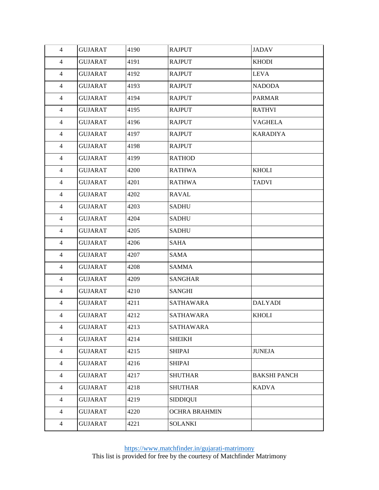| $\overline{4}$ | <b>GUJARAT</b> | 4190 | <b>RAJPUT</b>        | <b>JADAV</b>        |
|----------------|----------------|------|----------------------|---------------------|
| $\overline{4}$ | <b>GUJARAT</b> | 4191 | <b>RAJPUT</b>        | <b>KHODI</b>        |
| $\overline{4}$ | GUJARAT        | 4192 | <b>RAJPUT</b>        | LEVA                |
| $\overline{4}$ | <b>GUJARAT</b> | 4193 | <b>RAJPUT</b>        | <b>NADODA</b>       |
| $\overline{4}$ | <b>GUJARAT</b> | 4194 | <b>RAJPUT</b>        | <b>PARMAR</b>       |
| $\overline{4}$ | <b>GUJARAT</b> | 4195 | <b>RAJPUT</b>        | <b>RATHVI</b>       |
| $\overline{4}$ | <b>GUJARAT</b> | 4196 | <b>RAJPUT</b>        | <b>VAGHELA</b>      |
| $\overline{4}$ | <b>GUJARAT</b> | 4197 | <b>RAJPUT</b>        | <b>KARADIYA</b>     |
| $\overline{4}$ | <b>GUJARAT</b> | 4198 | <b>RAJPUT</b>        |                     |
| $\overline{4}$ | <b>GUJARAT</b> | 4199 | <b>RATHOD</b>        |                     |
| $\overline{4}$ | <b>GUJARAT</b> | 4200 | <b>RATHWA</b>        | <b>KHOLI</b>        |
| $\overline{4}$ | <b>GUJARAT</b> | 4201 | <b>RATHWA</b>        | <b>TADVI</b>        |
| $\overline{4}$ | <b>GUJARAT</b> | 4202 | <b>RAVAL</b>         |                     |
| $\overline{4}$ | <b>GUJARAT</b> | 4203 | <b>SADHU</b>         |                     |
| $\overline{4}$ | <b>GUJARAT</b> | 4204 | <b>SADHU</b>         |                     |
| $\overline{4}$ | <b>GUJARAT</b> | 4205 | <b>SADHU</b>         |                     |
| $\overline{4}$ | <b>GUJARAT</b> | 4206 | SAHA                 |                     |
| $\overline{4}$ | <b>GUJARAT</b> | 4207 | <b>SAMA</b>          |                     |
| $\overline{4}$ | <b>GUJARAT</b> | 4208 | <b>SAMMA</b>         |                     |
| $\overline{4}$ | <b>GUJARAT</b> | 4209 | <b>SANGHAR</b>       |                     |
| 4              | <b>GUJARAT</b> | 4210 | SANGHI               |                     |
| $\overline{4}$ | <b>GUJARAT</b> | 4211 | SATHAWARA            | <b>DALYADI</b>      |
| 4              | <b>GUJARAT</b> | 4212 | SATHAWARA            | <b>KHOLI</b>        |
| $\overline{4}$ | <b>GUJARAT</b> | 4213 | <b>SATHAWARA</b>     |                     |
| $\overline{4}$ | <b>GUJARAT</b> | 4214 | <b>SHEIKH</b>        |                     |
| $\overline{4}$ | <b>GUJARAT</b> | 4215 | <b>SHIPAI</b>        | <b>JUNEJA</b>       |
| $\overline{4}$ | <b>GUJARAT</b> | 4216 | <b>SHIPAI</b>        |                     |
| $\overline{4}$ | <b>GUJARAT</b> | 4217 | <b>SHUTHAR</b>       | <b>BAKSHI PANCH</b> |
| $\overline{4}$ | <b>GUJARAT</b> | 4218 | <b>SHUTHAR</b>       | <b>KADVA</b>        |
| $\overline{4}$ | <b>GUJARAT</b> | 4219 | <b>SIDDIQUI</b>      |                     |
| $\overline{4}$ | <b>GUJARAT</b> | 4220 | <b>OCHRA BRAHMIN</b> |                     |
| $\overline{4}$ | <b>GUJARAT</b> | 4221 | <b>SOLANKI</b>       |                     |
|                |                |      |                      |                     |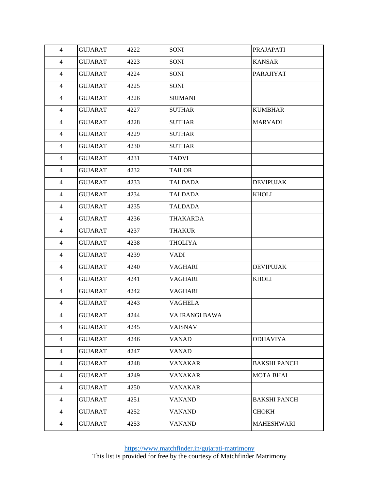| $\overline{4}$ | <b>GUJARAT</b> | 4222 | SONI           | <b>PRAJAPATI</b>    |
|----------------|----------------|------|----------------|---------------------|
| $\overline{4}$ | <b>GUJARAT</b> | 4223 | <b>SONI</b>    | <b>KANSAR</b>       |
| $\overline{4}$ | GUJARAT        | 4224 | SONI           | PARAJIYAT           |
| $\overline{4}$ | <b>GUJARAT</b> | 4225 | <b>SONI</b>    |                     |
| $\overline{4}$ | <b>GUJARAT</b> | 4226 | <b>SRIMANI</b> |                     |
| $\overline{4}$ | <b>GUJARAT</b> | 4227 | <b>SUTHAR</b>  | <b>KUMBHAR</b>      |
| $\overline{4}$ | <b>GUJARAT</b> | 4228 | <b>SUTHAR</b>  | <b>MARVADI</b>      |
| $\overline{4}$ | <b>GUJARAT</b> | 4229 | <b>SUTHAR</b>  |                     |
| $\overline{4}$ | <b>GUJARAT</b> | 4230 | <b>SUTHAR</b>  |                     |
| $\overline{4}$ | <b>GUJARAT</b> | 4231 | <b>TADVI</b>   |                     |
| $\overline{4}$ | <b>GUJARAT</b> | 4232 | TAILOR         |                     |
| $\overline{4}$ | <b>GUJARAT</b> | 4233 | <b>TALDADA</b> | <b>DEVIPUJAK</b>    |
| $\overline{4}$ | <b>GUJARAT</b> | 4234 | <b>TALDADA</b> | <b>KHOLI</b>        |
| $\overline{4}$ | <b>GUJARAT</b> | 4235 | <b>TALDADA</b> |                     |
| $\overline{4}$ | <b>GUJARAT</b> | 4236 | THAKARDA       |                     |
| $\overline{4}$ | <b>GUJARAT</b> | 4237 | <b>THAKUR</b>  |                     |
| $\overline{4}$ | <b>GUJARAT</b> | 4238 | <b>THOLIYA</b> |                     |
| $\overline{4}$ | <b>GUJARAT</b> | 4239 | <b>VADI</b>    |                     |
| $\overline{4}$ | <b>GUJARAT</b> | 4240 | <b>VAGHARI</b> | <b>DEVIPUJAK</b>    |
| $\overline{4}$ | <b>GUJARAT</b> | 4241 | <b>VAGHARI</b> | <b>KHOLI</b>        |
| $\overline{4}$ | <b>GUJARAT</b> | 4242 | <b>VAGHARI</b> |                     |
| $\overline{4}$ | <b>GUJARAT</b> | 4243 | <b>VAGHELA</b> |                     |
| 4              | <b>GUJARAT</b> | 4244 | VA IRANGI BAWA |                     |
| $\overline{4}$ | <b>GUJARAT</b> | 4245 | <b>VAISNAV</b> |                     |
| $\overline{4}$ | <b>GUJARAT</b> | 4246 | VANAD          | <b>ODHAVIYA</b>     |
| $\overline{4}$ | <b>GUJARAT</b> | 4247 | <b>VANAD</b>   |                     |
| $\overline{4}$ | <b>GUJARAT</b> | 4248 | <b>VANAKAR</b> | <b>BAKSHI PANCH</b> |
| $\overline{4}$ | <b>GUJARAT</b> | 4249 | <b>VANAKAR</b> | <b>MOTA BHAI</b>    |
| $\overline{4}$ | <b>GUJARAT</b> | 4250 | <b>VANAKAR</b> |                     |
| $\overline{4}$ | <b>GUJARAT</b> | 4251 | <b>VANAND</b>  | <b>BAKSHI PANCH</b> |
| $\overline{4}$ | <b>GUJARAT</b> | 4252 | <b>VANAND</b>  | <b>CHOKH</b>        |
| $\overline{4}$ | <b>GUJARAT</b> | 4253 | <b>VANAND</b>  | <b>MAHESHWARI</b>   |
|                |                |      |                |                     |